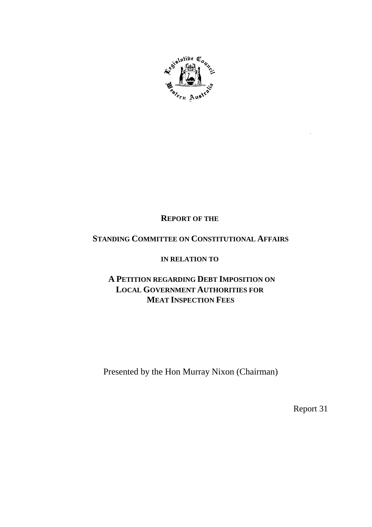

# **REPORT OF THE**

# **STANDING COMMITTEE ON CONSTITUTIONAL AFFAIRS**

# **IN RELATION TO**

# **A PETITION REGARDING DEBT IMPOSITION ON LOCAL GOVERNMENT AUTHORITIES FOR MEAT INSPECTION FEES**

Presented by the Hon Murray Nixon (Chairman)

Report 31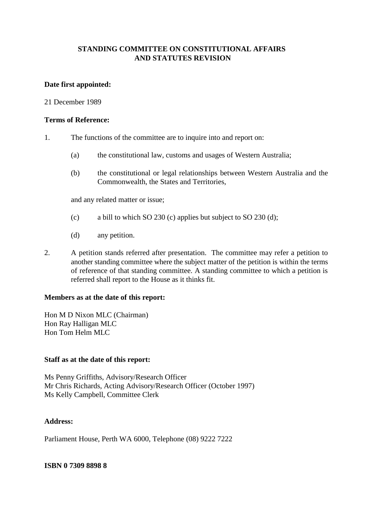# **STANDING COMMITTEE ON CONSTITUTIONAL AFFAIRS AND STATUTES REVISION**

## **Date first appointed:**

## 21 December 1989

## **Terms of Reference:**

- 1. The functions of the committee are to inquire into and report on:
	- (a) the constitutional law, customs and usages of Western Australia;
	- (b) the constitutional or legal relationships between Western Australia and the Commonwealth, the States and Territories,

and any related matter or issue;

- (c) a bill to which SO 230 (c) applies but subject to SO 230 (d);
- (d) any petition.
- 2. A petition stands referred after presentation. The committee may refer a petition to another standing committee where the subject matter of the petition is within the terms of reference of that standing committee. A standing committee to which a petition is referred shall report to the House as it thinks fit.

### **Members as at the date of this report:**

Hon M D Nixon MLC (Chairman) Hon Ray Halligan MLC Hon Tom Helm MLC

### **Staff as at the date of this report:**

Ms Penny Griffiths, Advisory/Research Officer Mr Chris Richards, Acting Advisory/Research Officer (October 1997) Ms Kelly Campbell, Committee Clerk

### **Address:**

Parliament House, Perth WA 6000, Telephone (08) 9222 7222

### **ISBN 0 7309 8898 8**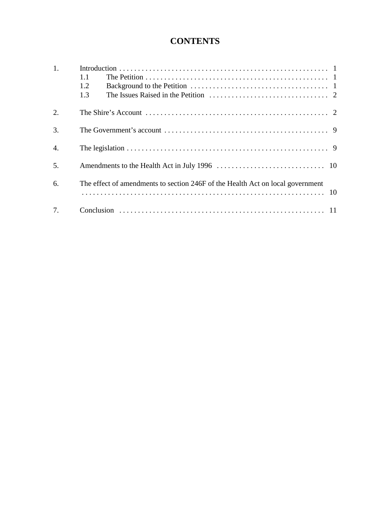# **CONTENTS**

| 1.               | 1.1<br>1.2<br>1.3                                                              |
|------------------|--------------------------------------------------------------------------------|
| 2.               |                                                                                |
| $\overline{3}$ . |                                                                                |
| $\overline{4}$ . |                                                                                |
| 5.               |                                                                                |
| 6.               | The effect of amendments to section 246F of the Health Act on local government |
| 7.               |                                                                                |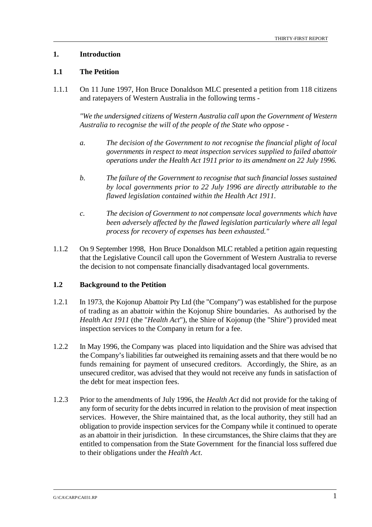# **1. Introduction**

# **1.1 The Petition**

1.1.1 On 11 June 1997, Hon Bruce Donaldson MLC presented a petition from 118 citizens and ratepayers of Western Australia in the following terms -

*"We the undersigned citizens of Western Australia call upon the Government of Western Australia to recognise the will of the people of the State who oppose -*

- *a. The decision of the Government to not recognise the financial plight of local governments in respect to meat inspection services supplied to failed abattoir operations under the Health Act 1911 prior to its amendment on 22 July 1996.*
- *b. The failure of the Government to recognise that such financial losses sustained by local governments prior to 22 July 1996 are directly attributable to the flawed legislation contained within the Health Act 1911.*
- *c. The decision of Government to not compensate local governments which have been adversely affected by the flawed legislation particularly where all legal process for recovery of expenses has been exhausted."*
- 1.1.2 On 9 September 1998, Hon Bruce Donaldson MLC retabled a petition again requesting that the Legislative Council call upon the Government of Western Australia to reverse the decision to not compensate financially disadvantaged local governments.

# **1.2 Background to the Petition**

- 1.2.1 In 1973, the Kojonup Abattoir Pty Ltd (the "Company") was established for the purpose of trading as an abattoir within the Kojonup Shire boundaries. As authorised by the *Health Act 1911* (the "*Health Act*"), the Shire of Kojonup (the "Shire") provided meat inspection services to the Company in return for a fee.
- 1.2.2 In May 1996, the Company was placed into liquidation and the Shire was advised that the Company's liabilities far outweighed its remaining assets and that there would be no funds remaining for payment of unsecured creditors. Accordingly, the Shire, as an unsecured creditor, was advised that they would not receive any funds in satisfaction of the debt for meat inspection fees.
- 1.2.3 Prior to the amendments of July 1996, the *Health Act* did not provide for the taking of any form of security for the debts incurred in relation to the provision of meat inspection services. However, the Shire maintained that, as the local authority, they still had an obligation to provide inspection services for the Company while it continued to operate as an abattoir in their jurisdiction. In these circumstances, the Shire claims that they are entitled to compensation from the State Government for the financial loss suffered due to their obligations under the *Health Act*.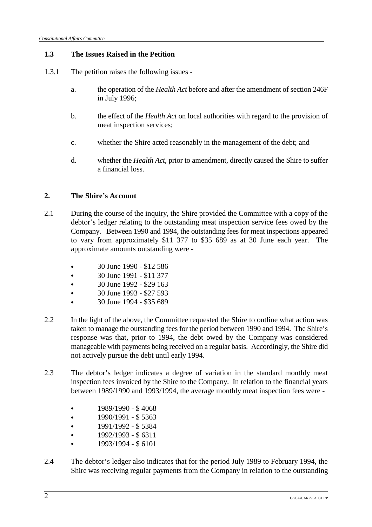# **1.3 The Issues Raised in the Petition**

- 1.3.1 The petition raises the following issues
	- a. the operation of the *Health Act* before and after the amendment of section 246F in July 1996;
	- b. the effect of the *Health Act* on local authorities with regard to the provision of meat inspection services;
	- c. whether the Shire acted reasonably in the management of the debt; and
	- d. whether the *Health Act,* prior to amendment, directly caused the Shire to suffer a financial loss.

# **2. The Shire's Account**

- 2.1 During the course of the inquiry, the Shire provided the Committee with a copy of the debtor's ledger relating to the outstanding meat inspection service fees owed by the Company. Between 1990 and 1994, the outstanding fees for meat inspections appeared to vary from approximately \$11 377 to \$35 689 as at 30 June each year. The approximate amounts outstanding were -
	- & 30 June 1990 \$12 586
	- & 30 June 1991 \$11 377
	- & 30 June 1992 \$29 163
	- & 30 June 1993 \$27 593
	- & 30 June 1994 \$35 689
- 2.2 In the light of the above, the Committee requested the Shire to outline what action was taken to manage the outstanding fees for the period between 1990 and 1994. The Shire's response was that, prior to 1994, the debt owed by the Company was considered manageable with payments being received on a regular basis. Accordingly, the Shire did not actively pursue the debt until early 1994.
- 2.3 The debtor's ledger indicates a degree of variation in the standard monthly meat inspection fees invoiced by the Shire to the Company. In relation to the financial years between 1989/1990 and 1993/1994, the average monthly meat inspection fees were -
	- $\cdot$  1989/1990 \$4068
	- $\cdot$  1990/1991 \$5363
	- $\cdot$  1991/1992 \$5384
	- $\cdot$  1992/1993 \$6311
	- & 1993/1994 \$ 6101
- 2.4 The debtor's ledger also indicates that for the period July 1989 to February 1994, the Shire was receiving regular payments from the Company in relation to the outstanding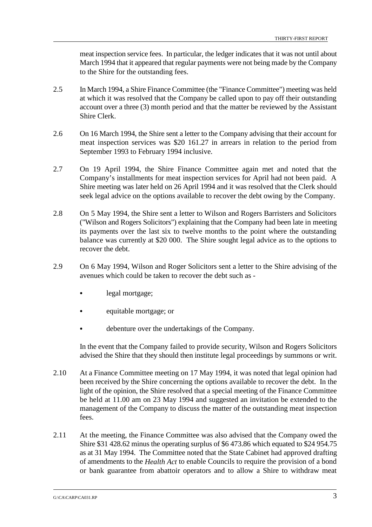meat inspection service fees. In particular, the ledger indicates that it was not until about March 1994 that it appeared that regular payments were not being made by the Company to the Shire for the outstanding fees.

- 2.5 In March 1994, a Shire Finance Committee (the "Finance Committee") meeting was held at which it was resolved that the Company be called upon to pay off their outstanding account over a three (3) month period and that the matter be reviewed by the Assistant Shire Clerk.
- 2.6 On 16 March 1994, the Shire sent a letter to the Company advising that their account for meat inspection services was \$20 161.27 in arrears in relation to the period from September 1993 to February 1994 inclusive.
- 2.7 On 19 April 1994, the Shire Finance Committee again met and noted that the Company's installments for meat inspection services for April had not been paid. A Shire meeting was later held on 26 April 1994 and it was resolved that the Clerk should seek legal advice on the options available to recover the debt owing by the Company.
- 2.8 On 5 May 1994, the Shire sent a letter to Wilson and Rogers Barristers and Solicitors ("Wilson and Rogers Solicitors") explaining that the Company had been late in meeting its payments over the last six to twelve months to the point where the outstanding balance was currently at \$20 000. The Shire sought legal advice as to the options to recover the debt.
- 2.9 On 6 May 1994, Wilson and Roger Solicitors sent a letter to the Shire advising of the avenues which could be taken to recover the debt such as
	- legal mortgage;
	- equitable mortgage; or
	- debenture over the undertakings of the Company.

In the event that the Company failed to provide security, Wilson and Rogers Solicitors advised the Shire that they should then institute legal proceedings by summons or writ.

- 2.10 At a Finance Committee meeting on 17 May 1994, it was noted that legal opinion had been received by the Shire concerning the options available to recover the debt. In the light of the opinion, the Shire resolved that a special meeting of the Finance Committee be held at 11.00 am on 23 May 1994 and suggested an invitation be extended to the management of the Company to discuss the matter of the outstanding meat inspection fees.
- 2.11 At the meeting, the Finance Committee was also advised that the Company owed the Shire \$31 428.62 minus the operating surplus of \$6 473.86 which equated to \$24 954.75 as at 31 May 1994. The Committee noted that the State Cabinet had approved drafting of amendments to the *Health Act* to enable Councils to require the provision of a bond or bank guarantee from abattoir operators and to allow a Shire to withdraw meat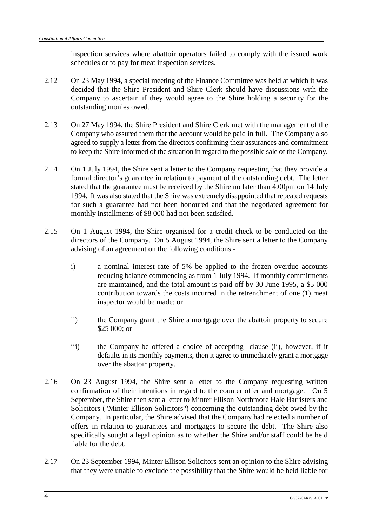inspection services where abattoir operators failed to comply with the issued work schedules or to pay for meat inspection services.

- 2.12 On 23 May 1994, a special meeting of the Finance Committee was held at which it was decided that the Shire President and Shire Clerk should have discussions with the Company to ascertain if they would agree to the Shire holding a security for the outstanding monies owed.
- 2.13 On 27 May 1994, the Shire President and Shire Clerk met with the management of the Company who assured them that the account would be paid in full. The Company also agreed to supply a letter from the directors confirming their assurances and commitment to keep the Shire informed of the situation in regard to the possible sale of the Company.
- 2.14 On 1 July 1994, the Shire sent a letter to the Company requesting that they provide a formal director's guarantee in relation to payment of the outstanding debt. The letter stated that the guarantee must be received by the Shire no later than 4.00pm on 14 July 1994. It was also stated that the Shire was extremely disappointed that repeated requests for such a guarantee had not been honoured and that the negotiated agreement for monthly installments of \$8 000 had not been satisfied.
- 2.15 On 1 August 1994, the Shire organised for a credit check to be conducted on the directors of the Company. On 5 August 1994, the Shire sent a letter to the Company advising of an agreement on the following conditions
	- i) a nominal interest rate of 5% be applied to the frozen overdue accounts reducing balance commencing as from 1 July 1994. If monthly commitments are maintained, and the total amount is paid off by 30 June 1995, a \$5 000 contribution towards the costs incurred in the retrenchment of one (1) meat inspector would be made; or
	- ii) the Company grant the Shire a mortgage over the abattoir property to secure \$25 000; or
	- iii) the Company be offered a choice of accepting clause (ii), however, if it defaults in its monthly payments, then it agree to immediately grant a mortgage over the abattoir property.
- 2.16 On 23 August 1994, the Shire sent a letter to the Company requesting written confirmation of their intentions in regard to the counter offer and mortgage. On 5 September, the Shire then sent a letter to Minter Ellison Northmore Hale Barristers and Solicitors ("Minter Ellison Solicitors") concerning the outstanding debt owed by the Company. In particular, the Shire advised that the Company had rejected a number of offers in relation to guarantees and mortgages to secure the debt. The Shire also specifically sought a legal opinion as to whether the Shire and/or staff could be held liable for the debt.
- 2.17 On 23 September 1994, Minter Ellison Solicitors sent an opinion to the Shire advising that they were unable to exclude the possibility that the Shire would be held liable for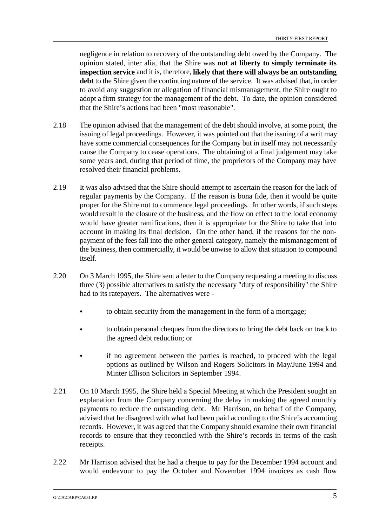negligence in relation to recovery of the outstanding debt owed by the Company. The opinion stated, inter alia, that the Shire was **not at liberty to simply terminate its inspection service** and it is, therefore, **likely that there will always be an outstanding** debt to the Shire given the continuing nature of the service. It was advised that, in order to avoid any suggestion or allegation of financial mismanagement, the Shire ought to adopt a firm strategy for the management of the debt. To date, the opinion considered that the Shire's actions had been "most reasonable".

- 2.18 The opinion advised that the management of the debt should involve, at some point, the issuing of legal proceedings. However, it was pointed out that the issuing of a writ may have some commercial consequences for the Company but in itself may not necessarily cause the Company to cease operations. The obtaining of a final judgement may take some years and, during that period of time, the proprietors of the Company may have resolved their financial problems.
- 2.19 It was also advised that the Shire should attempt to ascertain the reason for the lack of regular payments by the Company. If the reason is bona fide, then it would be quite proper for the Shire not to commence legal proceedings. In other words, if such steps would result in the closure of the business, and the flow on effect to the local economy would have greater ramifications, then it is appropriate for the Shire to take that into account in making its final decision. On the other hand, if the reasons for the nonpayment of the fees fall into the other general category, namely the mismanagement of the business, then commercially, it would be unwise to allow that situation to compound itself.
- 2.20 On 3 March 1995, the Shire sent a letter to the Company requesting a meeting to discuss three (3) possible alternatives to satisfy the necessary "duty of responsibility" the Shire had to its ratepayers. The alternatives were -
	- & to obtain security from the management in the form of a mortgage;
	- & to obtain personal cheques from the directors to bring the debt back on track to the agreed debt reduction; or
	- & if no agreement between the parties is reached, to proceed with the legal options as outlined by Wilson and Rogers Solicitors in May/June 1994 and Minter Ellison Solicitors in September 1994.
- 2.21 On 10 March 1995, the Shire held a Special Meeting at which the President sought an explanation from the Company concerning the delay in making the agreed monthly payments to reduce the outstanding debt. Mr Harrison, on behalf of the Company, advised that he disagreed with what had been paid according to the Shire's accounting records. However, it was agreed that the Company should examine their own financial records to ensure that they reconciled with the Shire's records in terms of the cash receipts.
- 2.22 Mr Harrison advised that he had a cheque to pay for the December 1994 account and would endeavour to pay the October and November 1994 invoices as cash flow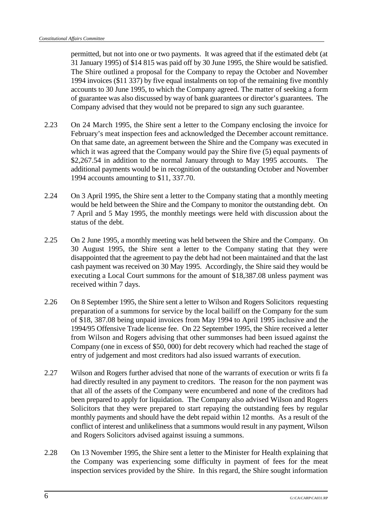permitted, but not into one or two payments. It was agreed that if the estimated debt (at 31 January 1995) of \$14 815 was paid off by 30 June 1995, the Shire would be satisfied. The Shire outlined a proposal for the Company to repay the October and November 1994 invoices (\$11 337) by five equal instalments on top of the remaining five monthly accounts to 30 June 1995, to which the Company agreed. The matter of seeking a form of guarantee was also discussed by way of bank guarantees or director's guarantees. The Company advised that they would not be prepared to sign any such guarantee.

- 2.23 On 24 March 1995, the Shire sent a letter to the Company enclosing the invoice for February's meat inspection fees and acknowledged the December account remittance. On that same date, an agreement between the Shire and the Company was executed in which it was agreed that the Company would pay the Shire five (5) equal payments of \$2,267.54 in addition to the normal January through to May 1995 accounts. The additional payments would be in recognition of the outstanding October and November 1994 accounts amounting to \$11, 337.70.
- 2.24 On 3 April 1995, the Shire sent a letter to the Company stating that a monthly meeting would be held between the Shire and the Company to monitor the outstanding debt. On 7 April and 5 May 1995, the monthly meetings were held with discussion about the status of the debt.
- 2.25 On 2 June 1995, a monthly meeting was held between the Shire and the Company. On 30 August 1995, the Shire sent a letter to the Company stating that they were disappointed that the agreement to pay the debt had not been maintained and that the last cash payment was received on 30 May 1995. Accordingly, the Shire said they would be executing a Local Court summons for the amount of \$18,387.08 unless payment was received within 7 days.
- 2.26 On 8 September 1995, the Shire sent a letter to Wilson and Rogers Solicitors requesting preparation of a summons for service by the local bailiff on the Company for the sum of \$18, 387.08 being unpaid invoices from May 1994 to April 1995 inclusive and the 1994/95 Offensive Trade license fee. On 22 September 1995, the Shire received a letter from Wilson and Rogers advising that other summonses had been issued against the Company (one in excess of \$50, 000) for debt recovery which had reached the stage of entry of judgement and most creditors had also issued warrants of execution.
- 2.27 Wilson and Rogers further advised that none of the warrants of execution or writs fi fa had directly resulted in any payment to creditors. The reason for the non payment was that all of the assets of the Company were encumbered and none of the creditors had been prepared to apply for liquidation. The Company also advised Wilson and Rogers Solicitors that they were prepared to start repaying the outstanding fees by regular monthly payments and should have the debt repaid within 12 months. As a result of the conflict of interest and unlikeliness that a summons would result in any payment, Wilson and Rogers Solicitors advised against issuing a summons.
- 2.28 On 13 November 1995, the Shire sent a letter to the Minister for Health explaining that the Company was experiencing some difficulty in payment of fees for the meat inspection services provided by the Shire. In this regard, the Shire sought information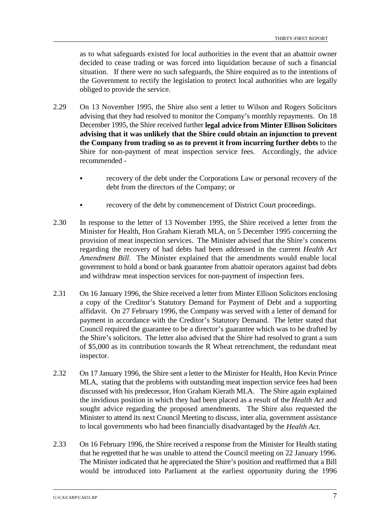as to what safeguards existed for local authorities in the event that an abattoir owner decided to cease trading or was forced into liquidation because of such a financial situation. If there were no such safeguards, the Shire enquired as to the intentions of the Government to rectify the legislation to protect local authorities who are legally obliged to provide the service.

- 2.29 On 13 November 1995, the Shire also sent a letter to Wilson and Rogers Solicitors advising that they had resolved to monitor the Company's monthly repayments. On 18 December 1995, the Shire received further **legal advice from Minter Ellison Solicitors advising that it was unlikely that the Shire could obtain an injunction to prevent the Company from trading so as to prevent it from incurring further debts** to the Shire for non-payment of meat inspection service fees. Accordingly, the advice recommended
	- recovery of the debt under the Corporations Law or personal recovery of the debt from the directors of the Company; or
	- recovery of the debt by commencement of District Court proceedings.
- 2.30 In response to the letter of 13 November 1995, the Shire received a letter from the Minister for Health, Hon Graham Kierath MLA, on 5 December 1995 concerning the provision of meat inspection services. The Minister advised that the Shire's concerns regarding the recovery of bad debts had been addressed in the current *Health Act Amendment Bill*. The Minister explained that the amendments would enable local government to hold a bond or bank guarantee from abattoir operators against bad debts and withdraw meat inspection services for non-payment of inspection fees.
- 2.31 On 16 January 1996, the Shire received a letter from Minter Ellison Solicitors enclosing a copy of the Creditor's Statutory Demand for Payment of Debt and a supporting affidavit. On 27 February 1996, the Company was served with a letter of demand for payment in accordance with the Creditor's Statutory Demand. The letter stated that Council required the guarantee to be a director's guarantee which was to be drafted by the Shire's solicitors. The letter also advised that the Shire had resolved to grant a sum of \$5,000 as its contribution towards the R Wheat retrenchment, the redundant meat inspector.
- 2.32 On 17 January 1996, the Shire sent a letter to the Minister for Health, Hon Kevin Prince MLA, stating that the problems with outstanding meat inspection service fees had been discussed with his predecessor, Hon Graham Kierath MLA. The Shire again explained the invidious position in which they had been placed as a result of the *Health Act* and sought advice regarding the proposed amendments. The Shire also requested the Minister to attend its next Council Meeting to discuss, inter alia, government assistance to local governments who had been financially disadvantaged by the *Health Act.*
- 2.33 On 16 February 1996, the Shire received a response from the Minister for Health stating that he regretted that he was unable to attend the Council meeting on 22 January 1996. The Minister indicated that he appreciated the Shire's position and reaffirmed that a Bill would be introduced into Parliament at the earliest opportunity during the 1996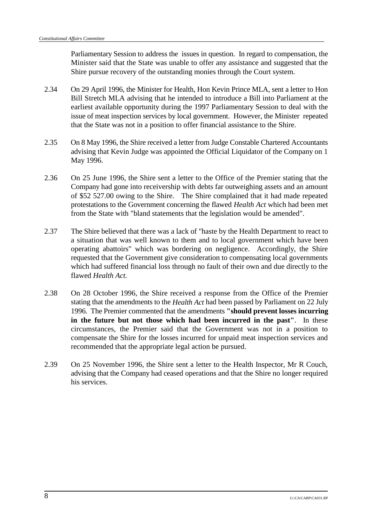Parliamentary Session to address the issues in question. In regard to compensation, the Minister said that the State was unable to offer any assistance and suggested that the Shire pursue recovery of the outstanding monies through the Court system.

- 2.34 On 29 April 1996, the Minister for Health, Hon Kevin Prince MLA, sent a letter to Hon Bill Stretch MLA advising that he intended to introduce a Bill into Parliament at the earliest available opportunity during the 1997 Parliamentary Session to deal with the issue of meat inspection services by local government. However, the Minister repeated that the State was not in a position to offer financial assistance to the Shire.
- 2.35 On 8 May 1996, the Shire received a letter from Judge Constable Chartered Accountants advising that Kevin Judge was appointed the Official Liquidator of the Company on 1 May 1996.
- 2.36 On 25 June 1996, the Shire sent a letter to the Office of the Premier stating that the Company had gone into receivership with debts far outweighing assets and an amount of \$52 527.00 owing to the Shire. The Shire complained that it had made repeated protestations to the Government concerning the flawed *Health Act* which had been met from the State with "bland statements that the legislation would be amended".
- 2.37 The Shire believed that there was a lack of "haste by the Health Department to react to a situation that was well known to them and to local government which have been operating abattoirs" which was bordering on negligence. Accordingly, the Shire requested that the Government give consideration to compensating local governments which had suffered financial loss through no fault of their own and due directly to the flawed *Health Act.*
- 2.38 On 28 October 1996, the Shire received a response from the Office of the Premier stating that the amendments to the *Health Act* had been passed by Parliament on 22 July 1996. The Premier commented that the amendments **"should prevent losses incurring in the future but not those which had been incurred in the past"**. In these circumstances, the Premier said that the Government was not in a position to compensate the Shire for the losses incurred for unpaid meat inspection services and recommended that the appropriate legal action be pursued.
- 2.39 On 25 November 1996, the Shire sent a letter to the Health Inspector, Mr R Couch, advising that the Company had ceased operations and that the Shire no longer required his services.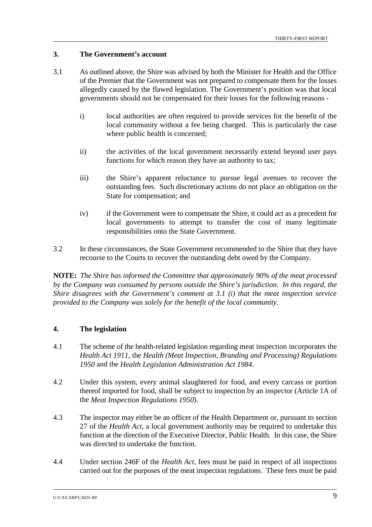# **3. The Government's account**

- 3.1 As outlined above, the Shire was advised by both the Minister for Health and the Office of the Premier that the Government was not prepared to compensate them for the losses allegedly caused by the flawed legislation. The Government's position was that local governments should not be compensated for their losses for the following reasons
	- i) local authorities are often required to provide services for the benefit of the local community without a fee being charged. This is particularly the case where public health is concerned;
	- ii) the activities of the local government necessarily extend beyond user pays functions for which reason they have an authority to tax;
	- iii) the Shire's apparent reluctance to pursue legal avenues to recover the outstanding fees. Such discretionary actions do not place an obligation on the State for compensation; and
	- iv) if the Government were to compensate the Shire, it could act as a precedent for local governments to attempt to transfer the cost of many legitimate responsibilities onto the State Government.
- 3.2 In these circumstances, the State Government recommended to the Shire that they have recourse to the Courts to recover the outstanding debt owed by the Company.

**NOTE:** *The Shire has informed the Committee that approximately 90% of the meat processed by the Company was consumed by persons outside the Shire's jurisdiction. In this regard, the Shire disagrees with the Government's comment at 3.1 (i) that the meat inspection service provided to the Company was solely for the benefit of the local community.*

### **4. The legislation**

- 4.1 The scheme of the health-related legislation regarding meat inspection incorporates the *Health Act 1911*, the *Health (Meat Inspection, Branding and Processing) Regulations 1950* and the *Health Legislation Administration Act 1984*.
- 4.2 Under this system, every animal slaughtered for food, and every carcass or portion thereof imported for food, shall be subject to inspection by an inspector (Article 1A of the *Meat Inspection Regulations 1950*).
- 4.3 The inspector may either be an officer of the Health Department or, pursuant to section 27 of the *Health Act*, a local government authority may be required to undertake this function at the direction of the Executive Director, Public Health. In this case, the Shire was directed to undertake the function.
- 4.4 Under section 246F of the *Health Act*, fees must be paid in respect of all inspections carried out for the purposes of the meat inspection regulations. These fees must be paid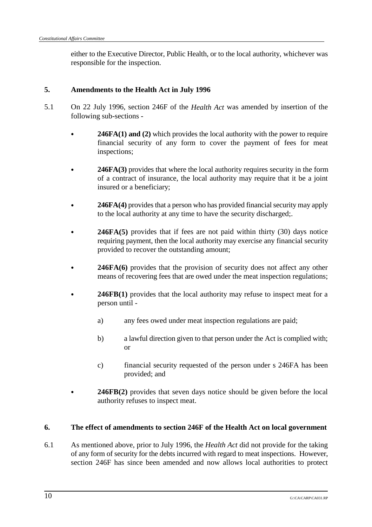either to the Executive Director, Public Health, or to the local authority, whichever was responsible for the inspection.

#### **5. Amendments to the Health Act in July 1996**

- 5.1 On 22 July 1996, section 246F of the *Health Act* was amended by insertion of the following sub-sections -
	- **246FA(1) and (2)** which provides the local authority with the power to require financial security of any form to cover the payment of fees for meat inspections;
	- & **246FA(3)** provides that where the local authority requires security in the form of a contract of insurance, the local authority may require that it be a joint insured or a beneficiary;
	- & **246FA(4)** provides that a person who has provided financial security may apply to the local authority at any time to have the security discharged;.
	- **246FA(5)** provides that if fees are not paid within thirty (30) days notice requiring payment, then the local authority may exercise any financial security provided to recover the outstanding amount;
	- 246FA(6) provides that the provision of security does not affect any other means of recovering fees that are owed under the meat inspection regulations;
	- 246FB(1) provides that the local authority may refuse to inspect meat for a person until
		- a) any fees owed under meat inspection regulations are paid;
		- b) a lawful direction given to that person under the Act is complied with; or
		- c) financial security requested of the person under s 246FA has been provided; and
	- & **246FB(2)** provides that seven days notice should be given before the local authority refuses to inspect meat.

### **6. The effect of amendments to section 246F of the Health Act on local government**

6.1 As mentioned above, prior to July 1996, the *Health Act* did not provide for the taking of any form of security for the debts incurred with regard to meat inspections. However, section 246F has since been amended and now allows local authorities to protect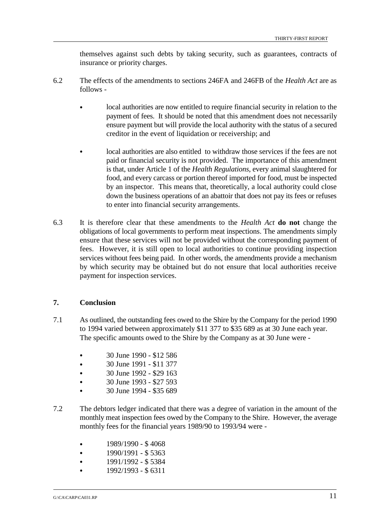themselves against such debts by taking security, such as guarantees, contracts of insurance or priority charges.

- 6.2 The effects of the amendments to sections 246FA and 246FB of the *Health Act* are as follows -
	- & local authorities are now entitled to require financial security in relation to the payment of fees. It should be noted that this amendment does not necessarily ensure payment but will provide the local authority with the status of a secured creditor in the event of liquidation or receivership; and
	- local authorities are also entitled to withdraw those services if the fees are not paid or financial security is not provided. The importance of this amendment is that, under Article 1 of the *Health Regulations*, every animal slaughtered for food, and every carcass or portion thereof imported for food, must be inspected by an inspector. This means that, theoretically, a local authority could close down the business operations of an abattoir that does not pay its fees or refuses to enter into financial security arrangements.
- 6.3 It is therefore clear that these amendments to the *Health Act* **do not** change the obligations of local governments to perform meat inspections. The amendments simply ensure that these services will not be provided without the corresponding payment of fees. However, it is still open to local authorities to continue providing inspection services without fees being paid. In other words, the amendments provide a mechanism by which security may be obtained but do not ensure that local authorities receive payment for inspection services.

# **7. Conclusion**

- 7.1 As outlined, the outstanding fees owed to the Shire by the Company for the period 1990 to 1994 varied between approximately \$11 377 to \$35 689 as at 30 June each year. The specific amounts owed to the Shire by the Company as at 30 June were -
	- & 30 June 1990 \$12 586
	- & 30 June 1991 \$11 377
	- & 30 June 1992 \$29 163
	- & 30 June 1993 \$27 593
	- & 30 June 1994 \$35 689
- 7.2 The debtors ledger indicated that there was a degree of variation in the amount of the monthly meat inspection fees owed by the Company to the Shire. However, the average monthly fees for the financial years 1989/90 to 1993/94 were -
	- & 1989/1990 \$ 4068
	- & 1990/1991 \$ 5363
	- & 1991/1992 \$ 5384
	- & 1992/1993 \$ 6311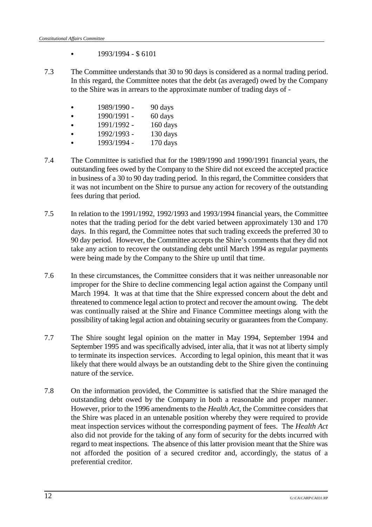- $\bullet$  1993/1994 \$ 6101
- 7.3 The Committee understands that 30 to 90 days is considered as a normal trading period. In this regard, the Committee notes that the debt (as averaged) owed by the Company to the Shire was in arrears to the approximate number of trading days of -
	- & 1989/1990 90 days
	- $\bullet$  1990/1991 60 days
	- & 1991/1992 160 days
	- & 1992/1993 130 days
	- & 1993/1994 170 days
- 7.4 The Committee is satisfied that for the 1989/1990 and 1990/1991 financial years, the outstanding fees owed by the Company to the Shire did not exceed the accepted practice in business of a 30 to 90 day trading period. In this regard, the Committee considers that it was not incumbent on the Shire to pursue any action for recovery of the outstanding fees during that period.
- 7.5 In relation to the 1991/1992, 1992/1993 and 1993/1994 financial years, the Committee notes that the trading period for the debt varied between approximately 130 and 170 days. In this regard, the Committee notes that such trading exceeds the preferred 30 to 90 day period. However, the Committee accepts the Shire's comments that they did not take any action to recover the outstanding debt until March 1994 as regular payments were being made by the Company to the Shire up until that time.
- 7.6 In these circumstances, the Committee considers that it was neither unreasonable nor improper for the Shire to decline commencing legal action against the Company until March 1994. It was at that time that the Shire expressed concern about the debt and threatened to commence legal action to protect and recover the amount owing. The debt was continually raised at the Shire and Finance Committee meetings along with the possibility of taking legal action and obtaining security or guarantees from the Company.
- 7.7 The Shire sought legal opinion on the matter in May 1994, September 1994 and September 1995 and was specifically advised, inter alia, that it was not at liberty simply to terminate its inspection services. According to legal opinion, this meant that it was likely that there would always be an outstanding debt to the Shire given the continuing nature of the service.
- 7.8 On the information provided, the Committee is satisfied that the Shire managed the outstanding debt owed by the Company in both a reasonable and proper manner. However, prior to the 1996 amendments to the *Health Act*, the Committee considers that the Shire was placed in an untenable position whereby they were required to provide meat inspection services without the corresponding payment of fees. The *Health Act* also did not provide for the taking of any form of security for the debts incurred with regard to meat inspections. The absence of this latter provision meant that the Shire was not afforded the position of a secured creditor and, accordingly, the status of a preferential creditor.